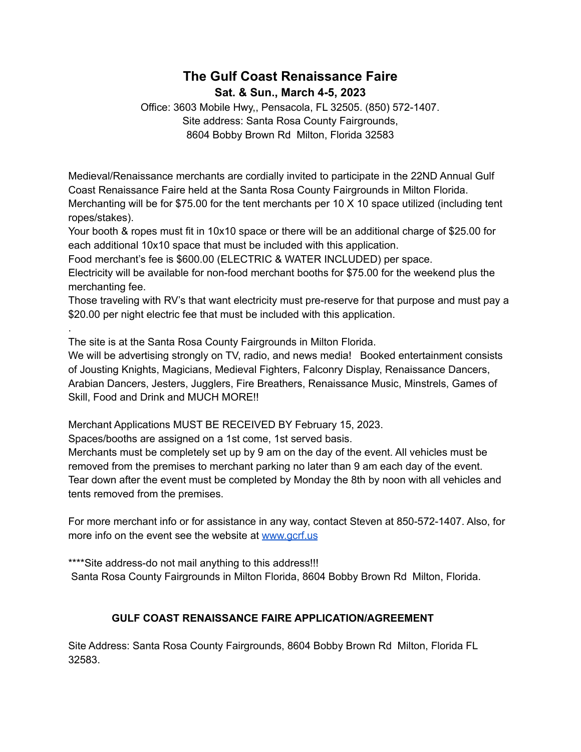# **The Gulf Coast Renaissance Faire Sat. & Sun., March 4-5, 2023**

Office: 3603 Mobile Hwy,, Pensacola, FL 32505. (850) 572-1407. Site address: Santa Rosa County Fairgrounds, 8604 Bobby Brown Rd Milton, Florida 32583

Medieval/Renaissance merchants are cordially invited to participate in the 22ND Annual Gulf Coast Renaissance Faire held at the Santa Rosa County Fairgrounds in Milton Florida. Merchanting will be for \$75.00 for the tent merchants per 10 X 10 space utilized (including tent ropes/stakes).

Your booth & ropes must fit in 10x10 space or there will be an additional charge of \$25.00 for each additional 10x10 space that must be included with this application.

Food merchant's fee is \$600.00 (ELECTRIC & WATER INCLUDED) per space.

Electricity will be available for non-food merchant booths for \$75.00 for the weekend plus the merchanting fee.

Those traveling with RV's that want electricity must pre-reserve for that purpose and must pay a \$20.00 per night electric fee that must be included with this application.

The site is at the Santa Rosa County Fairgrounds in Milton Florida.

.

We will be advertising strongly on TV, radio, and news media! Booked entertainment consists of Jousting Knights, Magicians, Medieval Fighters, Falconry Display, Renaissance Dancers, Arabian Dancers, Jesters, Jugglers, Fire Breathers, Renaissance Music, Minstrels, Games of Skill, Food and Drink and MUCH MORE!!

Merchant Applications MUST BE RECEIVED BY February 15, 2023.

Spaces/booths are assigned on a 1st come, 1st served basis.

Merchants must be completely set up by 9 am on the day of the event. All vehicles must be removed from the premises to merchant parking no later than 9 am each day of the event. Tear down after the event must be completed by Monday the 8th by noon with all vehicles and tents removed from the premises.

For more merchant info or for assistance in any way, contact Steven at 850-572-1407. Also, for more info on the event see the website at [www.gcrf.us](http://www.gcrf.us)

\*\*\*\*Site address-do not mail anything to this address!!!

Santa Rosa County Fairgrounds in Milton Florida, 8604 Bobby Brown Rd Milton, Florida.

# **GULF COAST RENAISSANCE FAIRE APPLICATION/AGREEMENT**

Site Address: Santa Rosa County Fairgrounds, 8604 Bobby Brown Rd Milton, Florida FL 32583.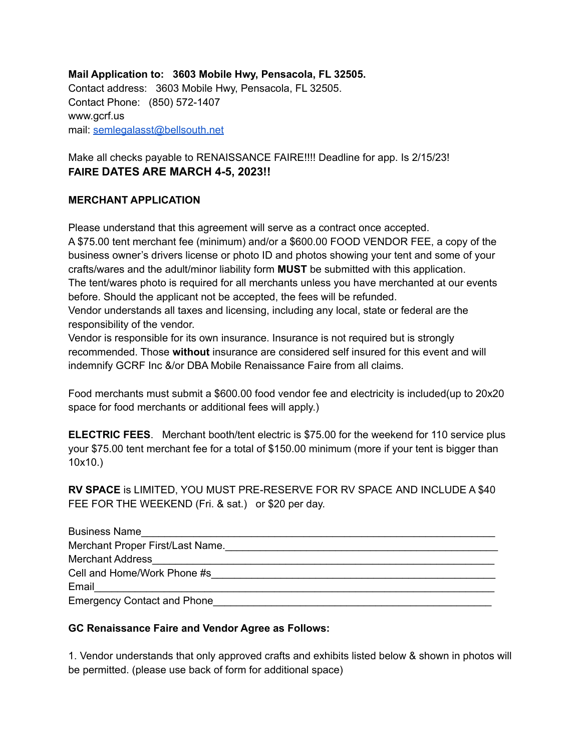### **Mail Application to: 3603 Mobile Hwy, Pensacola, FL 32505.**

Contact address: 3603 Mobile Hwy, Pensacola, FL 32505. Contact Phone: (850) 572-1407 www.gcrf.us mail: [semlegalasst@bellsouth.net](mailto:semlegalasst@bellsouth.net)

Make all checks payable to RENAISSANCE FAIRE!!!! Deadline for app. Is 2/15/23! **FAIRE DATES ARE MARCH 4-5, 2023!!**

#### **MERCHANT APPLICATION**

Please understand that this agreement will serve as a contract once accepted.

A \$75.00 tent merchant fee (minimum) and/or a \$600.00 FOOD VENDOR FEE, a copy of the business owner's drivers license or photo ID and photos showing your tent and some of your crafts/wares and the adult/minor liability form **MUST** be submitted with this application. The tent/wares photo is required for all merchants unless you have merchanted at our events before. Should the applicant not be accepted, the fees will be refunded.

Vendor understands all taxes and licensing, including any local, state or federal are the responsibility of the vendor.

Vendor is responsible for its own insurance. Insurance is not required but is strongly recommended. Those **without** insurance are considered self insured for this event and will indemnify GCRF Inc &/or DBA Mobile Renaissance Faire from all claims.

Food merchants must submit a \$600.00 food vendor fee and electricity is included(up to 20x20 space for food merchants or additional fees will apply.)

**ELECTRIC FEES**. Merchant booth/tent electric is \$75.00 for the weekend for 110 service plus your \$75.00 tent merchant fee for a total of \$150.00 minimum (more if your tent is bigger than 10x10.)

**RV SPACE** is LIMITED, YOU MUST PRE-RESERVE FOR RV SPACE AND INCLUDE A \$40 FEE FOR THE WEEKEND (Fri. & sat.) or \$20 per day.

| <b>Business Name</b>               |  |
|------------------------------------|--|
| Merchant Proper First/Last Name.   |  |
| <b>Merchant Address</b>            |  |
| Cell and Home/Work Phone #s        |  |
| Email                              |  |
| <b>Emergency Contact and Phone</b> |  |

#### **GC Renaissance Faire and Vendor Agree as Follows:**

1. Vendor understands that only approved crafts and exhibits listed below & shown in photos will be permitted. (please use back of form for additional space)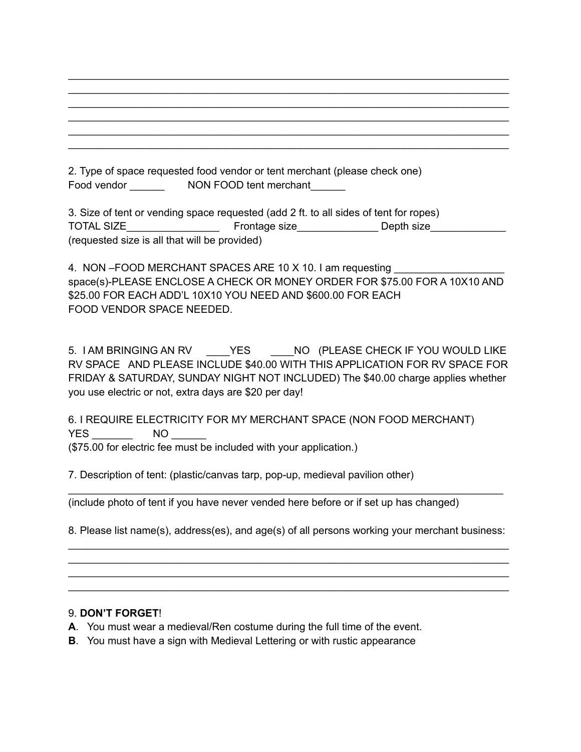2. Type of space requested food vendor or tent merchant (please check one) Food vendor \_\_\_\_\_\_\_\_\_\_\_\_\_ NON FOOD tent merchant

3. Size of tent or vending space requested (add 2 ft. to all sides of tent for ropes) TOTAL SIZE TOTAL SIZE Frontage size Depth size (requested size is all that will be provided)

\_\_\_\_\_\_\_\_\_\_\_\_\_\_\_\_\_\_\_\_\_\_\_\_\_\_\_\_\_\_\_\_\_\_\_\_\_\_\_\_\_\_\_\_\_\_\_\_\_\_\_\_\_\_\_\_\_\_\_\_\_\_\_\_\_\_\_\_\_\_\_\_\_\_\_\_ \_\_\_\_\_\_\_\_\_\_\_\_\_\_\_\_\_\_\_\_\_\_\_\_\_\_\_\_\_\_\_\_\_\_\_\_\_\_\_\_\_\_\_\_\_\_\_\_\_\_\_\_\_\_\_\_\_\_\_\_\_\_\_\_\_\_\_\_\_\_\_\_\_\_\_\_ \_\_\_\_\_\_\_\_\_\_\_\_\_\_\_\_\_\_\_\_\_\_\_\_\_\_\_\_\_\_\_\_\_\_\_\_\_\_\_\_\_\_\_\_\_\_\_\_\_\_\_\_\_\_\_\_\_\_\_\_\_\_\_\_\_\_\_\_\_\_\_\_\_\_\_\_ \_\_\_\_\_\_\_\_\_\_\_\_\_\_\_\_\_\_\_\_\_\_\_\_\_\_\_\_\_\_\_\_\_\_\_\_\_\_\_\_\_\_\_\_\_\_\_\_\_\_\_\_\_\_\_\_\_\_\_\_\_\_\_\_\_\_\_\_\_\_\_\_\_\_\_\_ \_\_\_\_\_\_\_\_\_\_\_\_\_\_\_\_\_\_\_\_\_\_\_\_\_\_\_\_\_\_\_\_\_\_\_\_\_\_\_\_\_\_\_\_\_\_\_\_\_\_\_\_\_\_\_\_\_\_\_\_\_\_\_\_\_\_\_\_\_\_\_\_\_\_\_\_ \_\_\_\_\_\_\_\_\_\_\_\_\_\_\_\_\_\_\_\_\_\_\_\_\_\_\_\_\_\_\_\_\_\_\_\_\_\_\_\_\_\_\_\_\_\_\_\_\_\_\_\_\_\_\_\_\_\_\_\_\_\_\_\_\_\_\_\_\_\_\_\_\_\_\_\_

4. NON –FOOD MERCHANT SPACES ARE 10 X 10. I am requesting space(s)-PLEASE ENCLOSE A CHECK OR MONEY ORDER FOR \$75.00 FOR A 10X10 AND \$25.00 FOR EACH ADD'L 10X10 YOU NEED AND \$600.00 FOR EACH FOOD VENDOR SPACE NEEDED.

5. I AM BRINGING AN RV \_\_\_\_YES \_\_\_\_NO (PLEASE CHECK IF YOU WOULD LIKE RV SPACE AND PLEASE INCLUDE \$40.00 WITH THIS APPLICATION FOR RV SPACE FOR FRIDAY & SATURDAY, SUNDAY NIGHT NOT INCLUDED) The \$40.00 charge applies whether you use electric or not, extra days are \$20 per day!

6. I REQUIRE ELECTRICITY FOR MY MERCHANT SPACE (NON FOOD MERCHANT) YES NO (\$75.00 for electric fee must be included with your application.)

7. Description of tent: (plastic/canvas tarp, pop-up, medieval pavilion other)

(include photo of tent if you have never vended here before or if set up has changed)

8. Please list name(s), address(es), and age(s) of all persons working your merchant business: \_\_\_\_\_\_\_\_\_\_\_\_\_\_\_\_\_\_\_\_\_\_\_\_\_\_\_\_\_\_\_\_\_\_\_\_\_\_\_\_\_\_\_\_\_\_\_\_\_\_\_\_\_\_\_\_\_\_\_\_\_\_\_\_\_\_\_\_\_\_\_\_\_\_\_\_

\_\_\_\_\_\_\_\_\_\_\_\_\_\_\_\_\_\_\_\_\_\_\_\_\_\_\_\_\_\_\_\_\_\_\_\_\_\_\_\_\_\_\_\_\_\_\_\_\_\_\_\_\_\_\_\_\_\_\_\_\_\_\_\_\_\_\_\_\_\_\_\_\_\_\_\_ \_\_\_\_\_\_\_\_\_\_\_\_\_\_\_\_\_\_\_\_\_\_\_\_\_\_\_\_\_\_\_\_\_\_\_\_\_\_\_\_\_\_\_\_\_\_\_\_\_\_\_\_\_\_\_\_\_\_\_\_\_\_\_\_\_\_\_\_\_\_\_\_\_\_\_\_ \_\_\_\_\_\_\_\_\_\_\_\_\_\_\_\_\_\_\_\_\_\_\_\_\_\_\_\_\_\_\_\_\_\_\_\_\_\_\_\_\_\_\_\_\_\_\_\_\_\_\_\_\_\_\_\_\_\_\_\_\_\_\_\_\_\_\_\_\_\_\_\_\_\_\_\_

\_\_\_\_\_\_\_\_\_\_\_\_\_\_\_\_\_\_\_\_\_\_\_\_\_\_\_\_\_\_\_\_\_\_\_\_\_\_\_\_\_\_\_\_\_\_\_\_\_\_\_\_\_\_\_\_\_\_\_\_\_\_\_\_\_\_\_\_\_\_\_\_\_\_\_

#### 9. **DON'T FORGET**!

- **A**. You must wear a medieval/Ren costume during the full time of the event.
- **B**. You must have a sign with Medieval Lettering or with rustic appearance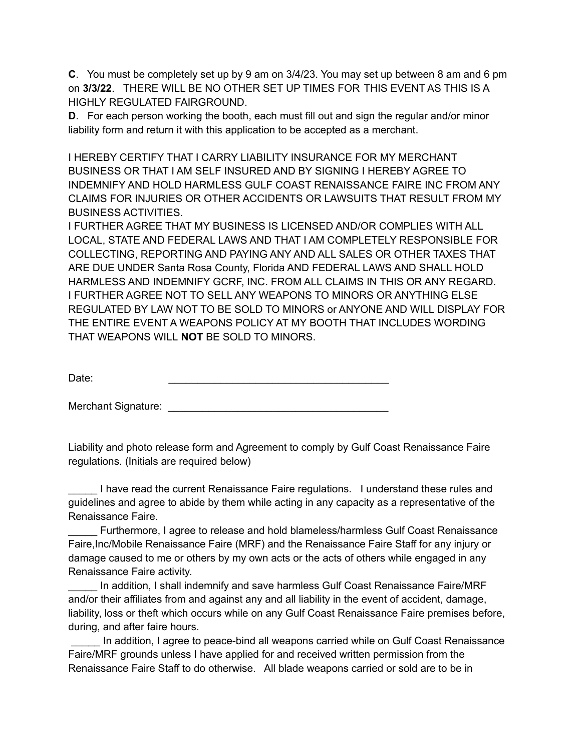**C**. You must be completely set up by 9 am on 3/4/23. You may set up between 8 am and 6 pm on **3/3/22**. THERE WILL BE NO OTHER SET UP TIMES FOR THIS EVENT AS THIS IS A HIGHLY REGULATED FAIRGROUND.

**D.** For each person working the booth, each must fill out and sign the regular and/or minor liability form and return it with this application to be accepted as a merchant.

I HEREBY CERTIFY THAT I CARRY LIABILITY INSURANCE FOR MY MERCHANT BUSINESS OR THAT I AM SELF INSURED AND BY SIGNING I HEREBY AGREE TO INDEMNIFY AND HOLD HARMLESS GULF COAST RENAISSANCE FAIRE INC FROM ANY CLAIMS FOR INJURIES OR OTHER ACCIDENTS OR LAWSUITS THAT RESULT FROM MY BUSINESS ACTIVITIES.

I FURTHER AGREE THAT MY BUSINESS IS LICENSED AND/OR COMPLIES WITH ALL LOCAL, STATE AND FEDERAL LAWS AND THAT I AM COMPLETELY RESPONSIBLE FOR COLLECTING, REPORTING AND PAYING ANY AND ALL SALES OR OTHER TAXES THAT ARE DUE UNDER Santa Rosa County, Florida AND FEDERAL LAWS AND SHALL HOLD HARMLESS AND INDEMNIFY GCRF, INC. FROM ALL CLAIMS IN THIS OR ANY REGARD. I FURTHER AGREE NOT TO SELL ANY WEAPONS TO MINORS OR ANYTHING ELSE REGULATED BY LAW NOT TO BE SOLD TO MINORS or ANYONE AND WILL DISPLAY FOR THE ENTIRE EVENT A WEAPONS POLICY AT MY BOOTH THAT INCLUDES WORDING THAT WEAPONS WILL **NOT** BE SOLD TO MINORS.

Date: \_\_\_\_\_\_\_\_\_\_\_\_\_\_\_\_\_\_\_\_\_\_\_\_\_\_\_\_\_\_\_\_\_\_\_\_\_\_

Merchant Signature: **Example 2018** 

Liability and photo release form and Agreement to comply by Gulf Coast Renaissance Faire regulations. (Initials are required below)

I have read the current Renaissance Faire regulations. I understand these rules and guidelines and agree to abide by them while acting in any capacity as a representative of the Renaissance Faire.

Furthermore, I agree to release and hold blameless/harmless Gulf Coast Renaissance Faire,Inc/Mobile Renaissance Faire (MRF) and the Renaissance Faire Staff for any injury or damage caused to me or others by my own acts or the acts of others while engaged in any Renaissance Faire activity.

In addition, I shall indemnify and save harmless Gulf Coast Renaissance Faire/MRF and/or their affiliates from and against any and all liability in the event of accident, damage, liability, loss or theft which occurs while on any Gulf Coast Renaissance Faire premises before, during, and after faire hours.

In addition, I agree to peace-bind all weapons carried while on Gulf Coast Renaissance Faire/MRF grounds unless I have applied for and received written permission from the Renaissance Faire Staff to do otherwise. All blade weapons carried or sold are to be in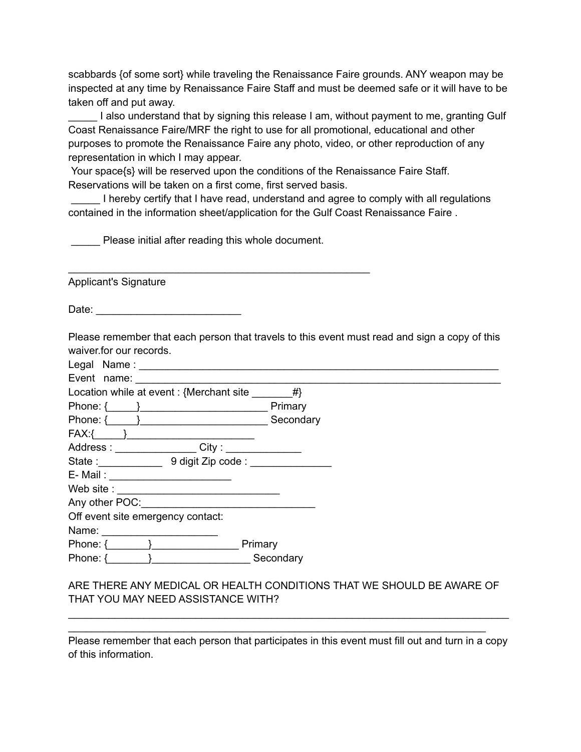scabbards {of some sort} while traveling the Renaissance Faire grounds. ANY weapon may be inspected at any time by Renaissance Faire Staff and must be deemed safe or it will have to be taken off and put away.

I also understand that by signing this release I am, without payment to me, granting Gulf Coast Renaissance Faire/MRF the right to use for all promotional, educational and other purposes to promote the Renaissance Faire any photo, video, or other reproduction of any representation in which I may appear.

Your space{s} will be reserved upon the conditions of the Renaissance Faire Staff. Reservations will be taken on a first come, first served basis.

I hereby certify that I have read, understand and agree to comply with all regulations contained in the information sheet/application for the Gulf Coast Renaissance Faire .

Please initial after reading this whole document.

\_\_\_\_\_\_\_\_\_\_\_\_\_\_\_\_\_\_\_\_\_\_\_\_\_\_\_\_\_\_\_\_\_\_\_\_\_\_\_\_\_\_\_\_\_\_\_\_\_\_\_\_

Applicant's Signature

Date: \_\_\_\_\_\_\_\_\_\_\_\_\_\_\_\_\_\_\_\_\_\_\_\_\_

Please remember that each person that travels to this event must read and sign a copy of this waiver.for our records.

| Event name:                                                            |  |  |
|------------------------------------------------------------------------|--|--|
| Location while at event : {Merchant site $#$ }                         |  |  |
| Primary<br>Phone: $\{$                                                 |  |  |
| Secondary<br>Phone: $\{\}$                                             |  |  |
| $FAX:\{\qquad\}$                                                       |  |  |
| $\overline{\phantom{a}}$ City : ________________<br>Address: _________ |  |  |
| State: 9 digit Zip code:                                               |  |  |
| E- Mail: __________________________                                    |  |  |
|                                                                        |  |  |
|                                                                        |  |  |
| Off event site emergency contact:                                      |  |  |
| Name:                                                                  |  |  |
| Phone: $\{ \}$<br>Primary                                              |  |  |
| Phone: $\{$<br>Secondary                                               |  |  |

## ARE THERE ANY MEDICAL OR HEALTH CONDITIONS THAT WE SHOULD BE AWARE OF THAT YOU MAY NEED ASSISTANCE WITH?

Please remember that each person that participates in this event must fill out and turn in a copy of this information.

\_\_\_\_\_\_\_\_\_\_\_\_\_\_\_\_\_\_\_\_\_\_\_\_\_\_\_\_\_\_\_\_\_\_\_\_\_\_\_\_\_\_\_\_\_\_\_\_\_\_\_\_\_\_\_\_\_\_\_\_\_\_\_\_\_\_\_\_\_\_\_\_\_\_\_\_ \_\_\_\_\_\_\_\_\_\_\_\_\_\_\_\_\_\_\_\_\_\_\_\_\_\_\_\_\_\_\_\_\_\_\_\_\_\_\_\_\_\_\_\_\_\_\_\_\_\_\_\_\_\_\_\_\_\_\_\_\_\_\_\_\_\_\_\_\_\_\_\_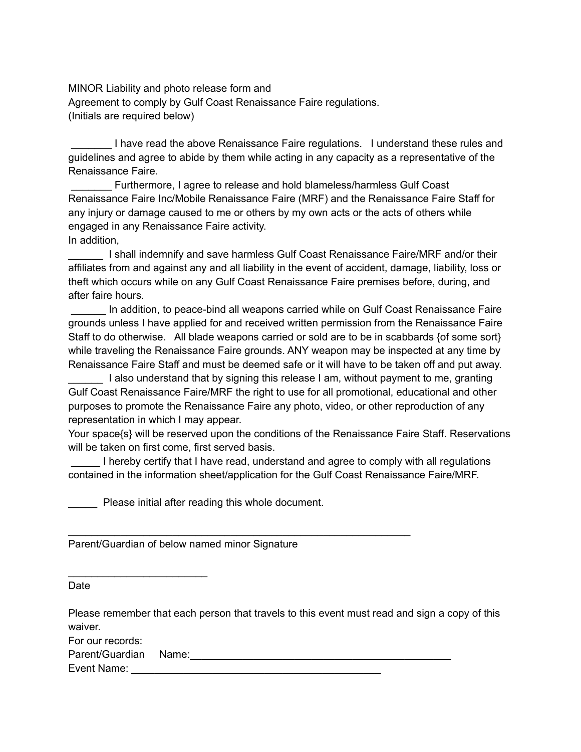MINOR Liability and photo release form and Agreement to comply by Gulf Coast Renaissance Faire regulations. (Initials are required below)

I have read the above Renaissance Faire regulations. I understand these rules and guidelines and agree to abide by them while acting in any capacity as a representative of the Renaissance Faire.

\_\_\_\_\_\_\_ Furthermore, I agree to release and hold blameless/harmless Gulf Coast Renaissance Faire Inc/Mobile Renaissance Faire (MRF) and the Renaissance Faire Staff for any injury or damage caused to me or others by my own acts or the acts of others while engaged in any Renaissance Faire activity. In addition,

\_\_\_\_\_\_ I shall indemnify and save harmless Gulf Coast Renaissance Faire/MRF and/or their affiliates from and against any and all liability in the event of accident, damage, liability, loss or theft which occurs while on any Gulf Coast Renaissance Faire premises before, during, and after faire hours.

\_\_\_\_\_\_ In addition, to peace-bind all weapons carried while on Gulf Coast Renaissance Faire grounds unless I have applied for and received written permission from the Renaissance Faire Staff to do otherwise. All blade weapons carried or sold are to be in scabbards {of some sort} while traveling the Renaissance Faire grounds. ANY weapon may be inspected at any time by Renaissance Faire Staff and must be deemed safe or it will have to be taken off and put away.

\_\_\_\_\_\_ I also understand that by signing this release I am, without payment to me, granting Gulf Coast Renaissance Faire/MRF the right to use for all promotional, educational and other purposes to promote the Renaissance Faire any photo, video, or other reproduction of any representation in which I may appear.

Your space{s} will be reserved upon the conditions of the Renaissance Faire Staff. Reservations will be taken on first come, first served basis.

I hereby certify that I have read, understand and agree to comply with all regulations contained in the information sheet/application for the Gulf Coast Renaissance Faire/MRF.

Please initial after reading this whole document.

\_\_\_\_\_\_\_\_\_\_\_\_\_\_\_\_\_\_\_\_\_\_\_\_\_\_\_\_\_\_\_\_\_\_\_\_\_\_\_\_\_\_\_\_\_\_\_\_\_\_\_\_\_\_\_\_\_\_\_

Parent/Guardian of below named minor Signature

Date

Please remember that each person that travels to this event must read and sign a copy of this waiver.

For our records:

Parent/Guardian Name:\_\_\_\_\_\_\_\_\_\_\_\_\_\_\_\_\_\_\_\_\_\_\_\_\_\_\_\_\_\_\_\_\_\_\_\_\_\_\_\_\_\_\_\_\_

\_\_\_\_\_\_\_\_\_\_\_\_\_\_\_\_\_\_\_\_\_\_\_\_

Event Name: